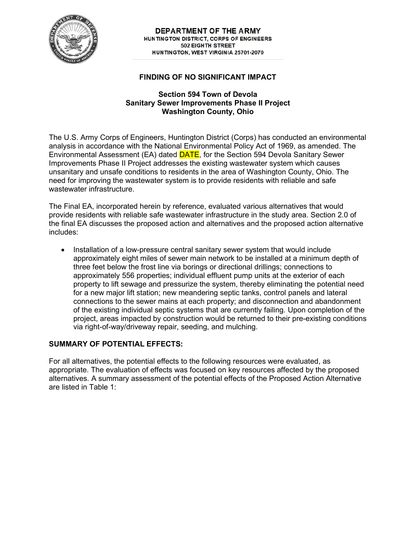

**DEPARTMENT OF THE ARMY**  HUNTINGTON DISTRICT, CORPS OF ENGINEERS 502 EIGHTH STREET HUNTINGTON, WEST VIRGINIA 25701-2070

## **FINDING OF NO SIGNIFICANT IMPACT**

## **Section 594 Town of Devola Sanitary Sewer Improvements Phase II Project Washington County, Ohio**

 The U.S. Army Corps of Engineers, Huntington District (Corps) has conducted an environmental Improvements Phase II Project addresses the existing wastewater system which causes nting<br>al Eny<br><mark>DAT</mark><br>ses th<br>ident analysis in accordance with the National Environmental Policy Act of 1969, as amended. The Environmental Assessment (EA) dated DATE, for the Section 594 Devola Sanitary Sewer unsanitary and unsafe conditions to residents in the area of Washington County, Ohio. The need for improving the wastewater system is to provide residents with reliable and safe wastewater infrastructure.

 The Final EA, incorporated herein by reference, evaluated various alternatives that would provide residents with reliable safe wastewater infrastructure in the study area. Section 2.0 of the final EA discusses the proposed action and alternatives and the proposed action alternative includes:

 approximately 556 properties; individual effluent pump units at the exterior of each property to lift sewage and pressurize the system, thereby eliminating the potential need • Installation of a low-pressure central sanitary sewer system that would include approximately eight miles of sewer main network to be installed at a minimum depth of three feet below the frost line via borings or directional drillings; connections to for a new major lift station; new meandering septic tanks, control panels and lateral connections to the sewer mains at each property; and disconnection and abandonment of the existing individual septic systems that are currently failing. Upon completion of the project, areas impacted by construction would be returned to their pre-existing conditions via right-of-way/driveway repair, seeding, and mulching.

## **SUMMARY OF POTENTIAL EFFECTS:**

 are listed in Table 1: For all alternatives, the potential effects to the following resources were evaluated, as appropriate. The evaluation of effects was focused on key resources affected by the proposed alternatives. A summary assessment of the potential effects of the Proposed Action Alternative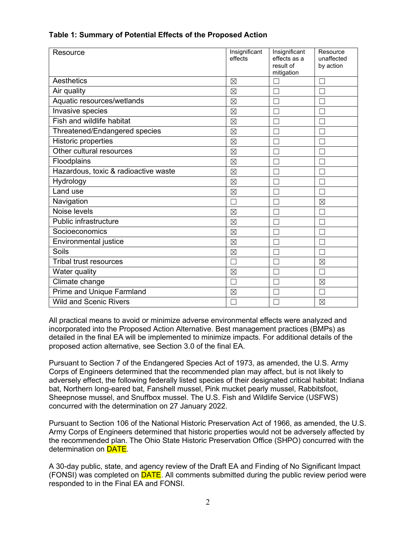| Resource                             | Insignificant<br>effects | Insignificant<br>effects as a<br>result of<br>mitigation | Resource<br>unaffected<br>by action |
|--------------------------------------|--------------------------|----------------------------------------------------------|-------------------------------------|
| Aesthetics                           | $\boxtimes$              |                                                          |                                     |
| Air quality                          | $\boxtimes$              |                                                          |                                     |
| Aquatic resources/wetlands           | $\boxtimes$              |                                                          |                                     |
| Invasive species                     | $\boxtimes$              |                                                          |                                     |
| Fish and wildlife habitat            | $\boxtimes$              |                                                          |                                     |
| Threatened/Endangered species        | $\boxtimes$              |                                                          |                                     |
| Historic properties                  | $\boxtimes$              |                                                          |                                     |
| Other cultural resources             | $\boxtimes$              |                                                          |                                     |
| Floodplains                          | $\boxtimes$              |                                                          |                                     |
| Hazardous, toxic & radioactive waste | $\boxtimes$              |                                                          |                                     |
| Hydrology                            | $\boxtimes$              |                                                          |                                     |
| Land use                             | $\boxtimes$              |                                                          |                                     |
| Navigation                           | П                        |                                                          | ⊠                                   |
| Noise levels                         | $\boxtimes$              |                                                          |                                     |
| Public infrastructure                | $\boxtimes$              |                                                          |                                     |
| Socioeconomics                       | $\boxtimes$              |                                                          |                                     |
| Environmental justice                | $\boxtimes$              |                                                          |                                     |
| Soils                                | $\boxtimes$              |                                                          |                                     |
| <b>Tribal trust resources</b>        | Г                        |                                                          | $\boxtimes$                         |
| Water quality                        | $\boxtimes$              |                                                          | П                                   |
| Climate change                       | Г                        |                                                          | $\boxtimes$                         |
| <b>Prime and Unique Farmland</b>     | $\boxtimes$              |                                                          |                                     |
| <b>Wild and Scenic Rivers</b>        |                          |                                                          | ⊠                                   |

## **Table 1: Summary of Potential Effects of the Proposed Action**

 All practical means to avoid or minimize adverse environmental effects were analyzed and detailed in the final EA will be implemented to minimize impacts. For additional details of the incorporated into the Proposed Action Alternative. Best management practices (BMPs) as proposed action alternative, see Section 3.0 of the final EA.

 Corps of Engineers determined that the recommended plan may affect, but is not likely to Pursuant to Section 7 of the Endangered Species Act of 1973, as amended, the U.S. Army adversely effect, the following federally listed species of their designated critical habitat: Indiana bat, Northern long-eared bat, Fanshell mussel, Pink mucket pearly mussel, Rabbitsfoot, Sheepnose mussel, and Snuffbox mussel. The U.S. Fish and Wildlife Service (USFWS) concurred with the determination on 27 January 2022.

 Pursuant to Section 106 of the National Historic Preservation Act of 1966, as amended, the U.S. Army Corps of Engineers determined that historic properties would not be adversely affected by<br>the recommended plan. The Ohio State Historic Preservation Office (SHPO) concurred with the<br>determination on **DATE**.<br>A 30-day p determination on **DATE**. the recommended plan. The Ohio State Historic Preservation Office (SHPO) concurred with the

determination on <mark>DATE</mark>.<br>A 30-day public, state, and agency review of the Draft EA and Finding of No Significant Impact responded to in the Final EA and FONSI. - (FONSI) was completed on <mark>DATE</mark>. All comments submitted during the public review period were